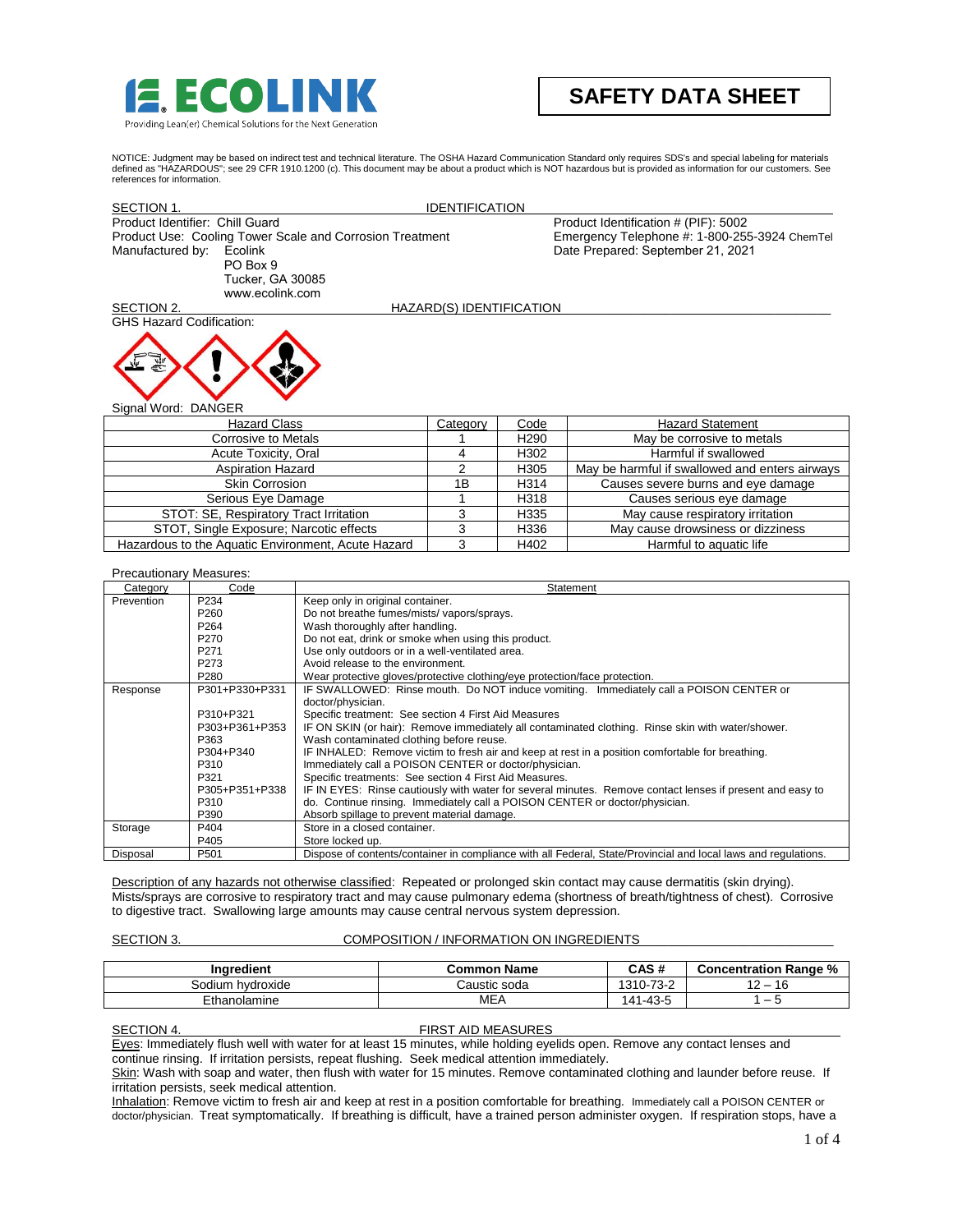

# **SAFETY DATA SHEET**

NOTICE: Judgment may be based on indirect test and technical literature. The OSHA Hazard Communication Standard only requires SDS's and special labeling for materials<br>defined as "HAZARDOUS"; see 29 CFR 1910.1200 (c). This references for information.

| SECTION 1.                      |                                                          | <b>IDENTIFICATION</b>    |                                               |
|---------------------------------|----------------------------------------------------------|--------------------------|-----------------------------------------------|
| Product Identifier: Chill Guard |                                                          |                          | Product Identification # (PIF): 5002          |
|                                 | Product Use: Cooling Tower Scale and Corrosion Treatment |                          | Emergency Telephone #: 1-800-255-3924 ChemTel |
| Manufactured by:                | Ecolink                                                  |                          | Date Prepared: September 21, 2021             |
|                                 | PO Box 9                                                 |                          |                                               |
|                                 | Tucker, GA 30085                                         |                          |                                               |
|                                 | www.ecolink.com                                          |                          |                                               |
| SECTION 2.                      |                                                          | HAZARD(S) IDENTIFICATION |                                               |
| <b>GHS Hazard Codification:</b> |                                                          |                          |                                               |
|                                 |                                                          |                          |                                               |

Signal Word: DANGER

| <b>Hazard Class</b>                                | Category | Code             | <b>Hazard Statement</b>                        |
|----------------------------------------------------|----------|------------------|------------------------------------------------|
| Corrosive to Metals                                |          | H <sub>290</sub> | May be corrosive to metals                     |
| Acute Toxicity, Oral                               |          | H <sub>302</sub> | Harmful if swallowed                           |
| <b>Aspiration Hazard</b>                           |          | H <sub>305</sub> | May be harmful if swallowed and enters airways |
| <b>Skin Corrosion</b>                              | 1Β       | H314             | Causes severe burns and eye damage             |
| Serious Eye Damage                                 |          | H318             | Causes serious eye damage                      |
| STOT: SE, Respiratory Tract Irritation             |          | H <sub>335</sub> | May cause respiratory irritation               |
| STOT, Single Exposure; Narcotic effects            |          | H336             | May cause drowsiness or dizziness              |
| Hazardous to the Aquatic Environment, Acute Hazard |          | H402             | Harmful to aguatic life                        |

# Precautionary Measures:

| Category   | Code             | Statement                                                                                                      |
|------------|------------------|----------------------------------------------------------------------------------------------------------------|
| Prevention | P234             | Keep only in original container.                                                                               |
|            | P <sub>260</sub> | Do not breathe fumes/mists/ vapors/sprays.                                                                     |
|            | P <sub>264</sub> | Wash thoroughly after handling.                                                                                |
|            | P <sub>270</sub> | Do not eat, drink or smoke when using this product.                                                            |
|            | P <sub>271</sub> | Use only outdoors or in a well-ventilated area.                                                                |
|            | P <sub>273</sub> | Avoid release to the environment.                                                                              |
|            | P <sub>280</sub> | Wear protective gloves/protective clothing/eye protection/face protection.                                     |
| Response   | P301+P330+P331   | IF SWALLOWED: Rinse mouth. Do NOT induce vomiting. Immediately call a POISON CENTER or                         |
|            |                  | doctor/physician.                                                                                              |
|            | P310+P321        | Specific treatment: See section 4 First Aid Measures                                                           |
|            | P303+P361+P353   | IF ON SKIN (or hair): Remove immediately all contaminated clothing. Rinse skin with water/shower.              |
|            | P363             | Wash contaminated clothing before reuse.                                                                       |
|            | P304+P340        | IF INHALED: Remove victim to fresh air and keep at rest in a position comfortable for breathing.               |
|            | P310             | Immediately call a POISON CENTER or doctor/physician.                                                          |
|            | P321             | Specific treatments: See section 4 First Aid Measures.                                                         |
|            | P305+P351+P338   | IF IN EYES: Rinse cautiously with water for several minutes. Remove contact lenses if present and easy to      |
|            | P310             | do. Continue rinsing. Immediately call a POISON CENTER or doctor/physician.                                    |
|            | P390             | Absorb spillage to prevent material damage.                                                                    |
| Storage    | P404             | Store in a closed container.                                                                                   |
|            | P405             | Store locked up.                                                                                               |
| Disposal   | P <sub>501</sub> | Dispose of contents/container in compliance with all Federal, State/Provincial and local laws and regulations. |

Description of any hazards not otherwise classified: Repeated or prolonged skin contact may cause dermatitis (skin drying). Mists/sprays are corrosive to respiratory tract and may cause pulmonary edema (shortness of breath/tightness of chest). Corrosive to digestive tract. Swallowing large amounts may cause central nervous system depression.

# SECTION 3. COMPOSITION / INFORMATION ON INGREDIENTS

| <b>Inaredient</b>   | <b>Common Name</b> | CAS #           | %<br><b>Concentration</b><br>⊦ Ranɑe |
|---------------------|--------------------|-----------------|--------------------------------------|
| hvdroxide<br>odiumہ | Caustic soda       | 10-73-2<br>1310 | 16                                   |
| Ethanolamine        | MEA                | 1-43-5<br>۰4۰   | -                                    |

SECTION 4. FIRST AID MEASURES

Eyes: Immediately flush well with water for at least 15 minutes, while holding eyelids open. Remove any contact lenses and continue rinsing. If irritation persists, repeat flushing. Seek medical attention immediately.

Skin: Wash with soap and water, then flush with water for 15 minutes. Remove contaminated clothing and launder before reuse. If irritation persists, seek medical attention.

Inhalation: Remove victim to fresh air and keep at rest in a position comfortable for breathing. Immediately call a POISON CENTER or doctor/physician. Treat symptomatically. If breathing is difficult, have a trained person administer oxygen. If respiration stops, have a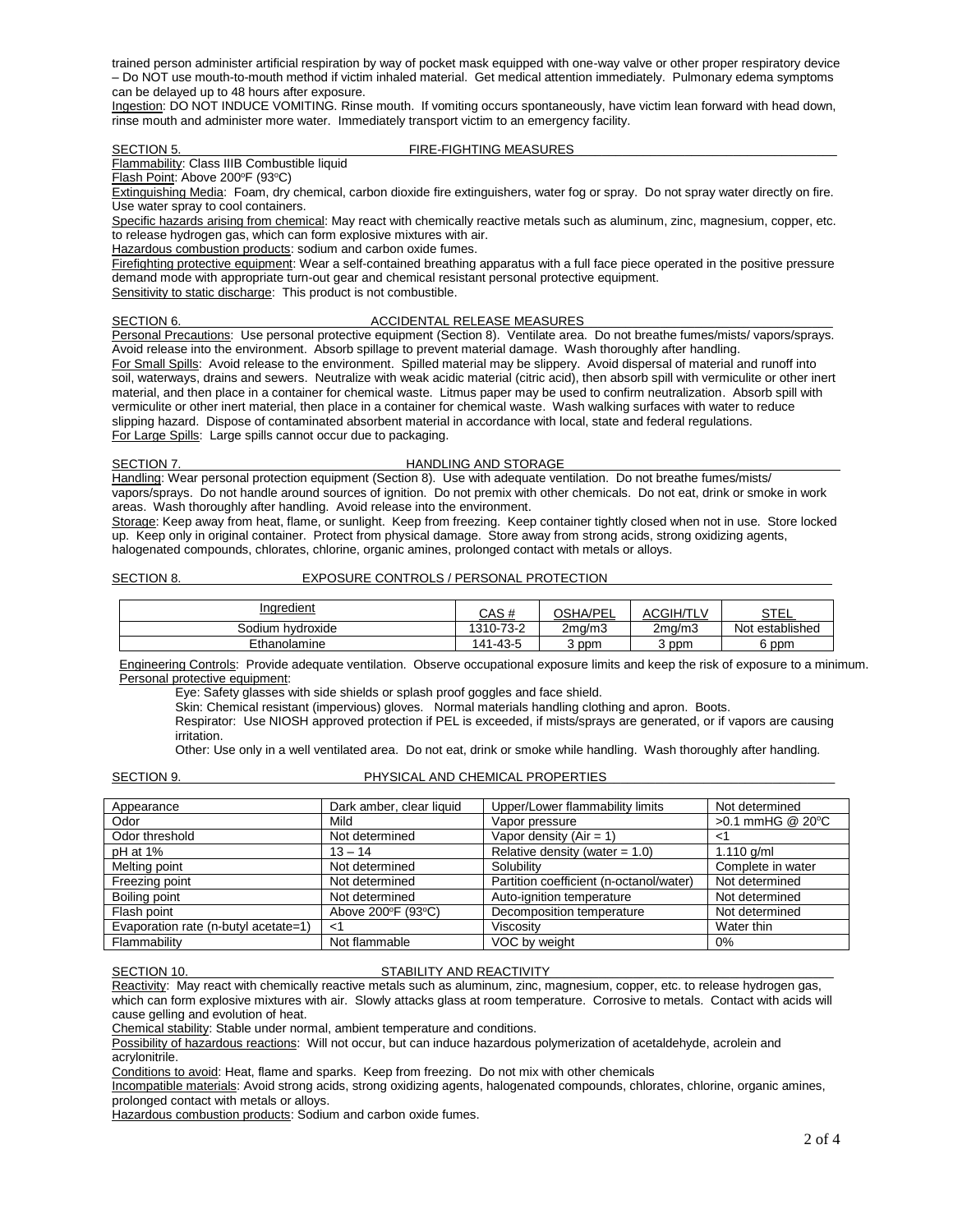trained person administer artificial respiration by way of pocket mask equipped with one-way valve or other proper respiratory device – Do NOT use mouth-to-mouth method if victim inhaled material. Get medical attention immediately. Pulmonary edema symptoms can be delayed up to 48 hours after exposure.

Ingestion: DO NOT INDUCE VOMITING. Rinse mouth. If vomiting occurs spontaneously, have victim lean forward with head down, rinse mouth and administer more water. Immediately transport victim to an emergency facility.

# SECTION 5. FIRE-FIGHTING MEASURES

Flammability: Class IIIB Combustible liquid

Flash Point: Above 200°F (93°C)

Extinguishing Media: Foam, dry chemical, carbon dioxide fire extinguishers, water fog or spray. Do not spray water directly on fire. Use water spray to cool containers.

Specific hazards arising from chemical: May react with chemically reactive metals such as aluminum, zinc, magnesium, copper, etc. to release hydrogen gas, which can form explosive mixtures with air.

Hazardous combustion products: sodium and carbon oxide fumes.

Firefighting protective equipment: Wear a self-contained breathing apparatus with a full face piece operated in the positive pressure demand mode with appropriate turn-out gear and chemical resistant personal protective equipment.

Sensitivity to static discharge: This product is not combustible.

# SECTION 6. ACCIDENTAL RELEASE MEASURES\_\_\_\_\_\_\_\_\_\_\_\_\_\_\_\_\_\_\_\_\_\_\_\_\_\_\_\_\_\_\_\_\_\_\_\_

Personal Precautions: Use personal protective equipment (Section 8). Ventilate area. Do not breathe fumes/mists/ vapors/sprays. Avoid release into the environment. Absorb spillage to prevent material damage. Wash thoroughly after handling.

For Small Spills: Avoid release to the environment. Spilled material may be slippery. Avoid dispersal of material and runoff into soil, waterways, drains and sewers. Neutralize with weak acidic material (citric acid), then absorb spill with vermiculite or other inert material, and then place in a container for chemical waste. Litmus paper may be used to confirm neutralization. Absorb spill with vermiculite or other inert material, then place in a container for chemical waste. Wash walking surfaces with water to reduce slipping hazard. Dispose of contaminated absorbent material in accordance with local, state and federal regulations. For Large Spills: Large spills cannot occur due to packaging.

# SECTION 7. HANDLING AND STORAGE

Handling: Wear personal protection equipment (Section 8). Use with adequate ventilation. Do not breathe fumes/mists/ vapors/sprays. Do not handle around sources of ignition. Do not premix with other chemicals. Do not eat, drink or smoke in work areas. Wash thoroughly after handling. Avoid release into the environment.

Storage: Keep away from heat, flame, or sunlight. Keep from freezing. Keep container tightly closed when not in use. Store locked up. Keep only in original container. Protect from physical damage. Store away from strong acids, strong oxidizing agents, halogenated compounds, chlorates, chlorine, organic amines, prolonged contact with metals or alloys.

# SECTION 8. EXPOSURE CONTROLS / PERSONAL PROTECTION

| Inaredient          | <b>CAC #</b><br>62 H | <b>OSHA/PEL</b><br>ᄂᄂ | ACGIH/TL\ | <b>STEL</b>     |
|---------------------|----------------------|-----------------------|-----------|-----------------|
| Sodium<br>hvdroxide | 1310-73-2            | 2ma/m3                | 2ma/m3    | Not established |
| Ethanolamine        | 141-43-5             | 3 ppm                 | 3 ppm     | 6 ppm           |

Engineering Controls: Provide adequate ventilation. Observe occupational exposure limits and keep the risk of exposure to a minimum. Personal protective equipment:

Eye: Safety glasses with side shields or splash proof goggles and face shield.

Skin: Chemical resistant (impervious) gloves. Normal materials handling clothing and apron. Boots.

Respirator: Use NIOSH approved protection if PEL is exceeded, if mists/sprays are generated, or if vapors are causing irritation.

Other: Use only in a well ventilated area. Do not eat, drink or smoke while handling. Wash thoroughly after handling.

# SECTION 9. PHYSICAL AND CHEMICAL PROPERTIES

| Appearance                           | Dark amber, clear liquid | Upper/Lower flammability limits         | Not determined    |
|--------------------------------------|--------------------------|-----------------------------------------|-------------------|
| Odor                                 | Mild                     | Vapor pressure                          | >0.1 mmHG @ 20°C  |
| Odor threshold                       | Not determined           | Vapor density $(Air = 1)$               | $<$ 1             |
| pH at 1%                             | $13 - 14$                | Relative density (water $= 1.0$ )       | 1.110 $q/ml$      |
| Melting point                        | Not determined           | Solubility                              | Complete in water |
| Freezing point                       | Not determined           | Partition coefficient (n-octanol/water) | Not determined    |
| Boiling point                        | Not determined           | Auto-ignition temperature               | Not determined    |
| Flash point                          | Above 200°F (93°C)       | Decomposition temperature               | Not determined    |
| Evaporation rate (n-butyl acetate=1) | <1                       | Viscosity                               | Water thin        |
| Flammability                         | Not flammable            | VOC by weight                           | 0%                |

### SECTION 10. SECTION 10.

Reactivity: May react with chemically reactive metals such as aluminum, zinc, magnesium, copper, etc. to release hydrogen gas, which can form explosive mixtures with air. Slowly attacks glass at room temperature. Corrosive to metals. Contact with acids will cause gelling and evolution of heat.

Chemical stability: Stable under normal, ambient temperature and conditions.

Possibility of hazardous reactions: Will not occur, but can induce hazardous polymerization of acetaldehyde, acrolein and acrylonitrile.

Conditions to avoid: Heat, flame and sparks. Keep from freezing. Do not mix with other chemicals

Incompatible materials: Avoid strong acids, strong oxidizing agents, halogenated compounds, chlorates, chlorine, organic amines, prolonged contact with metals or alloys.

Hazardous combustion products: Sodium and carbon oxide fumes.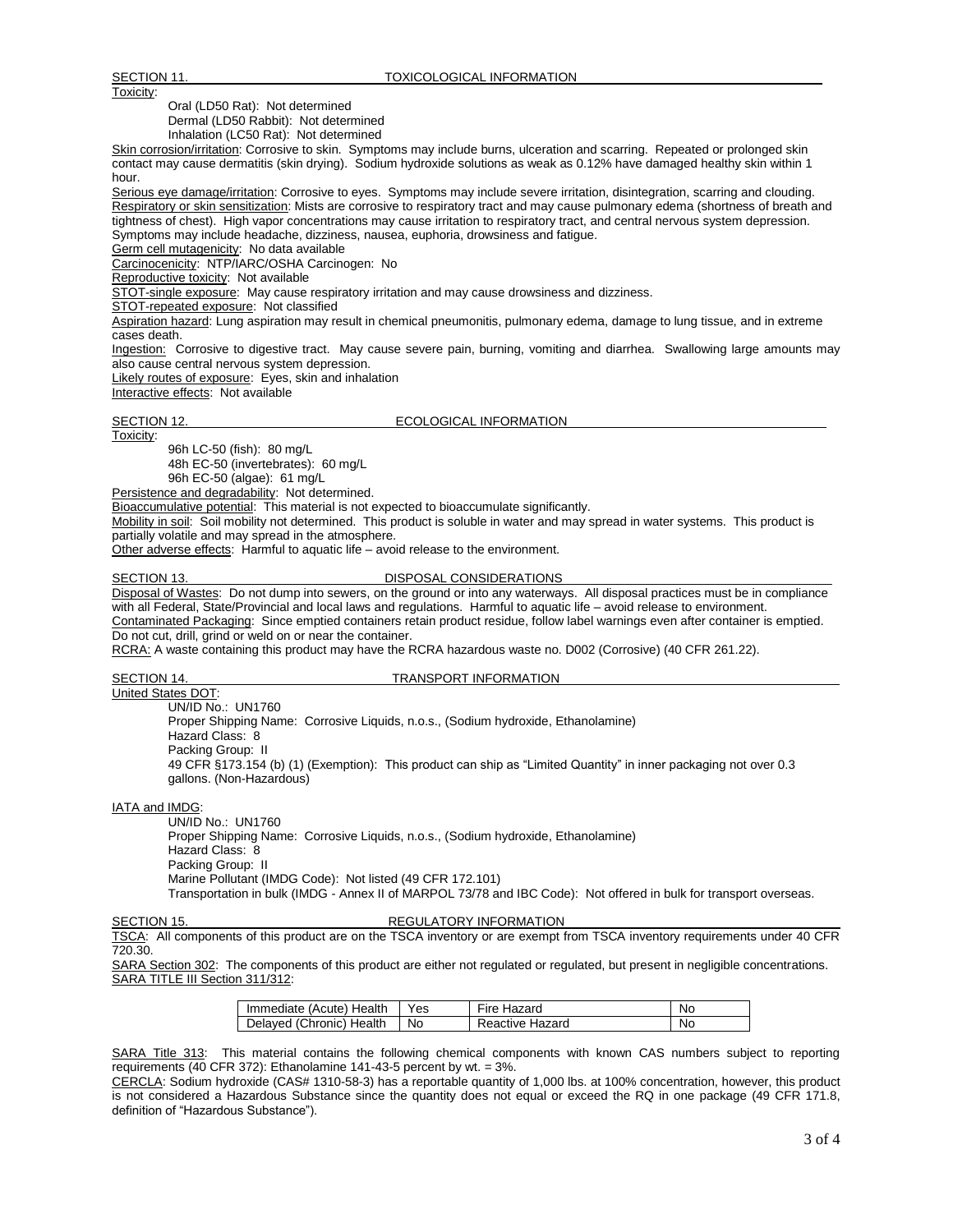Oral (LD50 Rat): Not determined

Dermal (LD50 Rabbit): Not determined

Inhalation (LC50 Rat): Not determined

Skin corrosion/irritation: Corrosive to skin. Symptoms may include burns, ulceration and scarring. Repeated or prolonged skin contact may cause dermatitis (skin drying). Sodium hydroxide solutions as weak as 0.12% have damaged healthy skin within 1 hour.

Serious eye damage/irritation: Corrosive to eyes. Symptoms may include severe irritation, disintegration, scarring and clouding. Respiratory or skin sensitization: Mists are corrosive to respiratory tract and may cause pulmonary edema (shortness of breath and tightness of chest). High vapor concentrations may cause irritation to respiratory tract, and central nervous system depression. Symptoms may include headache, dizziness, nausea, euphoria, drowsiness and fatigue.

Germ cell mutagenicity: No data available

Carcinocenicity: NTP/IARC/OSHA Carcinogen: No

Reproductive toxicity: Not available

STOT-single exposure: May cause respiratory irritation and may cause drowsiness and dizziness.

STOT-repeated exposure: Not classified

Aspiration hazard: Lung aspiration may result in chemical pneumonitis, pulmonary edema, damage to lung tissue, and in extreme cases death.

Ingestion: Corrosive to digestive tract. May cause severe pain, burning, vomiting and diarrhea. Swallowing large amounts may also cause central nervous system depression.

Likely routes of exposure: Eyes, skin and inhalation

Interactive effects: Not available

# SECTION 12. ECOLOGICAL INFORMATION

Toxicity: 96h LC-50 (fish): 80 mg/L

48h EC-50 (invertebrates): 60 mg/L

96h EC-50 (algae): 61 mg/L

Persistence and degradability: Not determined.

Bioaccumulative potential: This material is not expected to bioaccumulate significantly.

Mobility in soil: Soil mobility not determined. This product is soluble in water and may spread in water systems. This product is partially volatile and may spread in the atmosphere.

Other adverse effects: Harmful to aquatic life – avoid release to the environment.

# SECTION 13. DISPOSAL CONSIDERATIONS

Disposal of Wastes: Do not dump into sewers, on the ground or into any waterways. All disposal practices must be in compliance with all Federal, State/Provincial and local laws and regulations. Harmful to aquatic life – avoid release to environment. Contaminated Packaging: Since emptied containers retain product residue, follow label warnings even after container is emptied. Do not cut, drill, grind or weld on or near the container.

RCRA: A waste containing this product may have the RCRA hazardous waste no. D002 (Corrosive) (40 CFR 261.22).

# SECTION 14. TRANSPORT INFORMATION

United States DOT: UN/ID No.: UN1760 Proper Shipping Name: Corrosive Liquids, n.o.s., (Sodium hydroxide, Ethanolamine) Hazard Class: 8 Packing Group: II 49 CFR §173.154 (b) (1) (Exemption): This product can ship as "Limited Quantity" in inner packaging not over 0.3 gallons. (Non-Hazardous)

IATA and IMDG:

UN/ID No.: UN1760 Proper Shipping Name: Corrosive Liquids, n.o.s., (Sodium hydroxide, Ethanolamine) Hazard Class: 8 Packing Group: II Marine Pollutant (IMDG Code): Not listed (49 CFR 172.101) Transportation in bulk (IMDG - Annex II of MARPOL 73/78 and IBC Code): Not offered in bulk for transport overseas.

# SECTION 15. REGULATORY INFORMATION

TSCA: All components of this product are on the TSCA inventory or are exempt from TSCA inventory requirements under 40 CFR 720.30.

SARA Section 302: The components of this product are either not regulated or regulated, but present in negligible concentrations. SARA TITLE III Section 311/312:

| Immediate (Acute) Health | Yes | Fire Hazard     | No |
|--------------------------|-----|-----------------|----|
| Delaved (Chronic) Health | No. | Reactive Hazard | No |

SARA Title 313: This material contains the following chemical components with known CAS numbers subject to reporting requirements (40 CFR 372): Ethanolamine 141-43-5 percent by wt. = 3%.

CERCLA: Sodium hydroxide (CAS# 1310-58-3) has a reportable quantity of 1,000 lbs. at 100% concentration, however, this product is not considered a Hazardous Substance since the quantity does not equal or exceed the RQ in one package (49 CFR 171.8, definition of "Hazardous Substance").